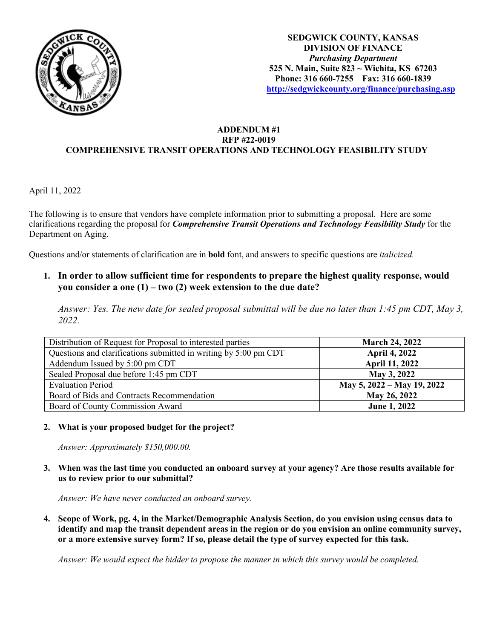

## **ADDENDUM #1 RFP #22-0019 COMPREHENSIVE TRANSIT OPERATIONS AND TECHNOLOGY FEASIBILITY STUDY**

April 11, 2022

The following is to ensure that vendors have complete information prior to submitting a proposal. Here are some clarifications regarding the proposal for *Comprehensive Transit Operations and Technology Feasibility Study* for the Department on Aging.

Questions and/or statements of clarification are in **bold** font, and answers to specific questions are *italicized.*

**1. In order to allow sufficient time for respondents to prepare the highest quality response, would you consider a one (1) – two (2) week extension to the due date?**

*Answer: Yes. The new date for sealed proposal submittal will be due no later than 1:45 pm CDT, May 3, 2022.*

| Distribution of Request for Proposal to interested parties       | <b>March 24, 2022</b>      |
|------------------------------------------------------------------|----------------------------|
| Questions and clarifications submitted in writing by 5:00 pm CDT | <b>April 4, 2022</b>       |
| Addendum Issued by 5:00 pm CDT                                   | <b>April 11, 2022</b>      |
| Sealed Proposal due before 1:45 pm CDT                           | May 3, 2022                |
| <b>Evaluation Period</b>                                         | May 5, 2022 – May 19, 2022 |
| Board of Bids and Contracts Recommendation                       | May 26, 2022               |
| Board of County Commission Award                                 | June 1, 2022               |

## **2. What is your proposed budget for the project?**

*Answer: Approximately \$150,000.00.*

**3. When was the last time you conducted an onboard survey at your agency? Are those results available for us to review prior to our submittal?**

*Answer: We have never conducted an onboard survey.*

**4. Scope of Work, pg. 4, in the Market/Demographic Analysis Section, do you envision using census data to identify and map the transit dependent areas in the region or do you envision an online community survey, or a more extensive survey form? If so, please detail the type of survey expected for this task.**

*Answer: We would expect the bidder to propose the manner in which this survey would be completed.*